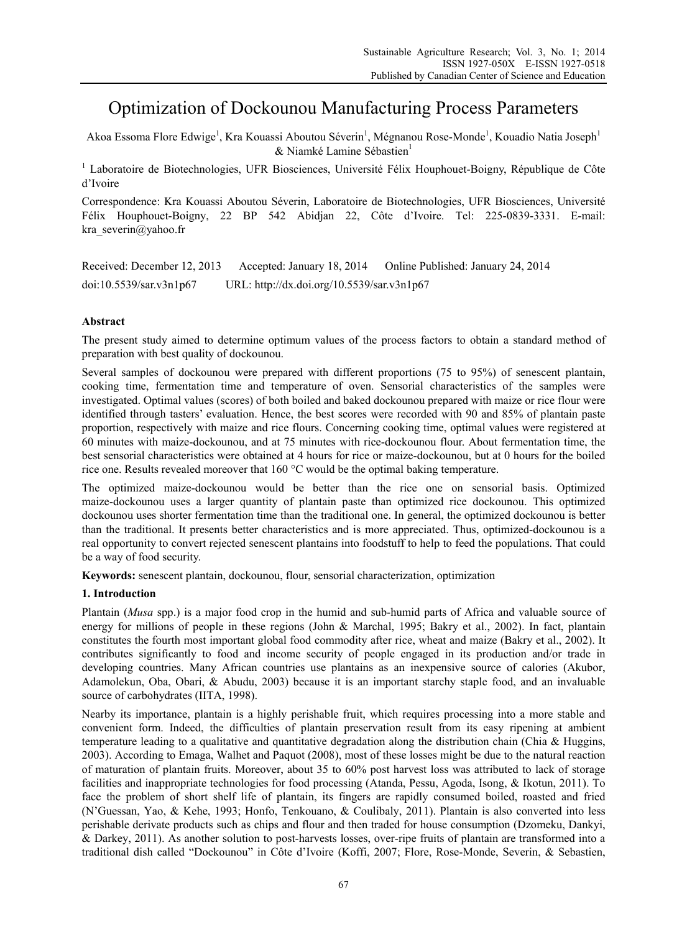# Optimization of Dockounou Manufacturing Process Parameters

Akoa Essoma Flore Edwige<sup>1</sup>, Kra Kouassi Aboutou Séverin<sup>1</sup>, Mégnanou Rose-Monde<sup>1</sup>, Kouadio Natia Joseph<sup>1</sup>  $&$  Niamké Lamine Sébastien<sup>1</sup>

<sup>1</sup> Laboratoire de Biotechnologies, UFR Biosciences, Université Félix Houphouet-Boigny, République de Côte d'Ivoire

Correspondence: Kra Kouassi Aboutou Séverin, Laboratoire de Biotechnologies, UFR Biosciences, Université Félix Houphouet-Boigny, 22 BP 542 Abidjan 22, Côte d'Ivoire. Tel: 225-0839-3331. E-mail: kra severin@yahoo.fr

Received: December 12, 2013 Accepted: January 18, 2014 Online Published: January 24, 2014 doi:10.5539/sar.v3n1p67 URL: http://dx.doi.org/10.5539/sar.v3n1p67

# **Abstract**

The present study aimed to determine optimum values of the process factors to obtain a standard method of preparation with best quality of dockounou.

Several samples of dockounou were prepared with different proportions (75 to 95%) of senescent plantain, cooking time, fermentation time and temperature of oven. Sensorial characteristics of the samples were investigated. Optimal values (scores) of both boiled and baked dockounou prepared with maize or rice flour were identified through tasters' evaluation. Hence, the best scores were recorded with 90 and 85% of plantain paste proportion, respectively with maize and rice flours. Concerning cooking time, optimal values were registered at 60 minutes with maize-dockounou, and at 75 minutes with rice-dockounou flour. About fermentation time, the best sensorial characteristics were obtained at 4 hours for rice or maize-dockounou, but at 0 hours for the boiled rice one. Results revealed moreover that 160 °C would be the optimal baking temperature.

The optimized maize-dockounou would be better than the rice one on sensorial basis. Optimized maize-dockounou uses a larger quantity of plantain paste than optimized rice dockounou. This optimized dockounou uses shorter fermentation time than the traditional one. In general, the optimized dockounou is better than the traditional. It presents better characteristics and is more appreciated. Thus, optimized-dockounou is a real opportunity to convert rejected senescent plantains into foodstuff to help to feed the populations. That could be a way of food security.

**Keywords:** senescent plantain, dockounou, flour, sensorial characterization, optimization

# **1. Introduction**

Plantain (*Musa* spp.) is a major food crop in the humid and sub-humid parts of Africa and valuable source of energy for millions of people in these regions (John & Marchal, 1995; Bakry et al., 2002). In fact, plantain constitutes the fourth most important global food commodity after rice, wheat and maize (Bakry et al., 2002). It contributes significantly to food and income security of people engaged in its production and/or trade in developing countries. Many African countries use plantains as an inexpensive source of calories (Akubor, Adamolekun, Oba, Obari, & Abudu, 2003) because it is an important starchy staple food, and an invaluable source of carbohydrates (IITA, 1998).

Nearby its importance, plantain is a highly perishable fruit, which requires processing into a more stable and convenient form. Indeed, the difficulties of plantain preservation result from its easy ripening at ambient temperature leading to a qualitative and quantitative degradation along the distribution chain (Chia & Huggins, 2003). According to Emaga, Walhet and Paquot (2008), most of these losses might be due to the natural reaction of maturation of plantain fruits. Moreover, about 35 to 60% post harvest loss was attributed to lack of storage facilities and inappropriate technologies for food processing (Atanda, Pessu, Agoda, Isong, & Ikotun, 2011). To face the problem of short shelf life of plantain, its fingers are rapidly consumed boiled, roasted and fried (N'Guessan, Yao, & Kehe, 1993; Honfo, Tenkouano, & Coulibaly, 2011). Plantain is also converted into less perishable derivate products such as chips and flour and then traded for house consumption (Dzomeku, Dankyi, & Darkey, 2011). As another solution to post-harvests losses, over-ripe fruits of plantain are transformed into a traditional dish called "Dockounou" in Côte d'Ivoire (Koffi, 2007; Flore, Rose-Monde, Severin, & Sebastien,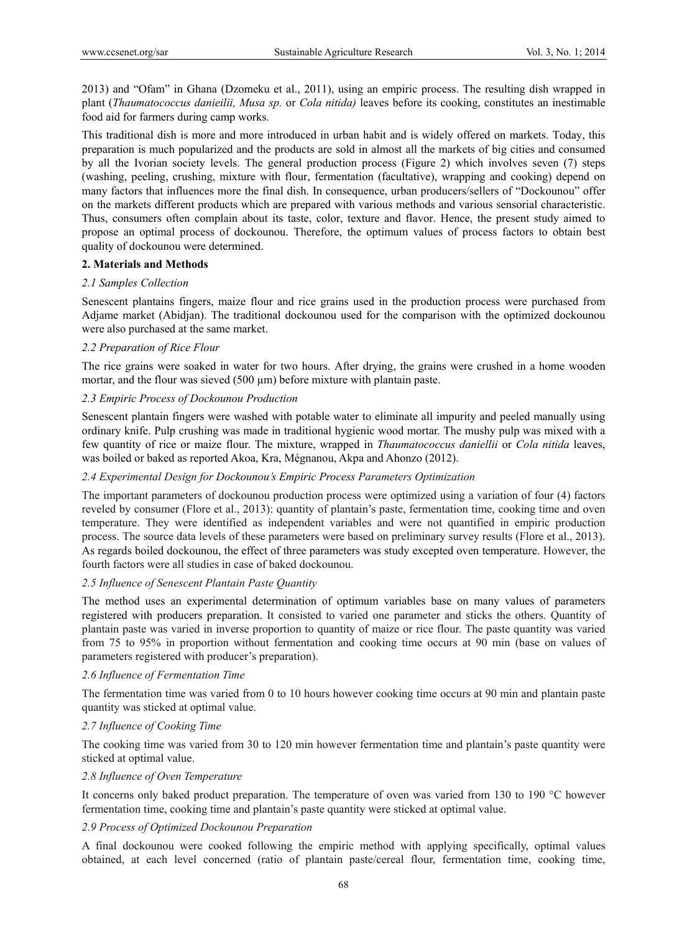2013) and "Ofam" in Ghana (Dzomeku et al., 2011), using an empiric process. The resulting dish wrapped in plant (*Thaumatococcus danieilii, Musa sp.* or *Cola nitida)* leaves before its cooking, constitutes an inestimable food aid for farmers during camp works.

This traditional dish is more and more introduced in urban habit and is widely offered on markets. Today, this preparation is much popularized and the products are sold in almost all the markets of big cities and consumed by all the Ivorian society levels. The general production process (Figure 2) which involves seven (7) steps (washing, peeling, crushing, mixture with flour, fermentation (facultative), wrapping and cooking) depend on many factors that influences more the final dish. In consequence, urban producers/sellers of "Dockounou" offer on the markets different products which are prepared with various methods and various sensorial characteristic. Thus, consumers often complain about its taste, color, texture and flavor. Hence, the present study aimed to propose an optimal process of dockounou. Therefore, the optimum values of process factors to obtain best quality of dockounou were determined.

## **2. Materials and Methods**

## *2.1 Samples Collection*

Senescent plantains fingers, maize flour and rice grains used in the production process were purchased from Adjame market (Abidjan). The traditional dockounou used for the comparison with the optimized dockounou were also purchased at the same market.

## *2.2 Preparation of Rice Flour*

The rice grains were soaked in water for two hours. After drying, the grains were crushed in a home wooden mortar, and the flour was sieved (500  $\mu$ m) before mixture with plantain paste.

## *2.3 Empiric Process of Dockounou Production*

Senescent plantain fingers were washed with potable water to eliminate all impurity and peeled manually using ordinary knife. Pulp crushing was made in traditional hygienic wood mortar. The mushy pulp was mixed with a few quantity of rice or maize flour. The mixture, wrapped in *Thaumatococcus daniellii* or *Cola nitida* leaves, was boiled or baked as reported Akoa, Kra, Mégnanou, Akpa and Ahonzo (2012).

## *2.4 Experimental Design for Dockounou's Empiric Process Parameters Optimization*

The important parameters of dockounou production process were optimized using a variation of four (4) factors reveled by consumer (Flore et al., 2013): quantity of plantain's paste, fermentation time, cooking time and oven temperature. They were identified as independent variables and were not quantified in empiric production process. The source data levels of these parameters were based on preliminary survey results (Flore et al., 2013). As regards boiled dockounou, the effect of three parameters was study excepted oven temperature. However, the fourth factors were all studies in case of baked dockounou.

## *2.5 Influence of Senescent Plantain Paste Quantity*

The method uses an experimental determination of optimum variables base on many values of parameters registered with producers preparation. It consisted to varied one parameter and sticks the others. Quantity of plantain paste was varied in inverse proportion to quantity of maize or rice flour. The paste quantity was varied from 75 to 95% in proportion without fermentation and cooking time occurs at 90 min (base on values of parameters registered with producer's preparation).

## *2.6 Influence of Fermentation Time*

The fermentation time was varied from 0 to 10 hours however cooking time occurs at 90 min and plantain paste quantity was sticked at optimal value.

## *2.7 Influence of Cooking Time*

The cooking time was varied from 30 to 120 min however fermentation time and plantain's paste quantity were sticked at optimal value.

## *2.8 Influence of Oven Temperature*

It concerns only baked product preparation. The temperature of oven was varied from 130 to 190 °C however fermentation time, cooking time and plantain's paste quantity were sticked at optimal value.

# *2.9 Process of Optimized Dockounou Preparation*

A final dockounou were cooked following the empiric method with applying specifically, optimal values obtained, at each level concerned (ratio of plantain paste/cereal flour, fermentation time, cooking time,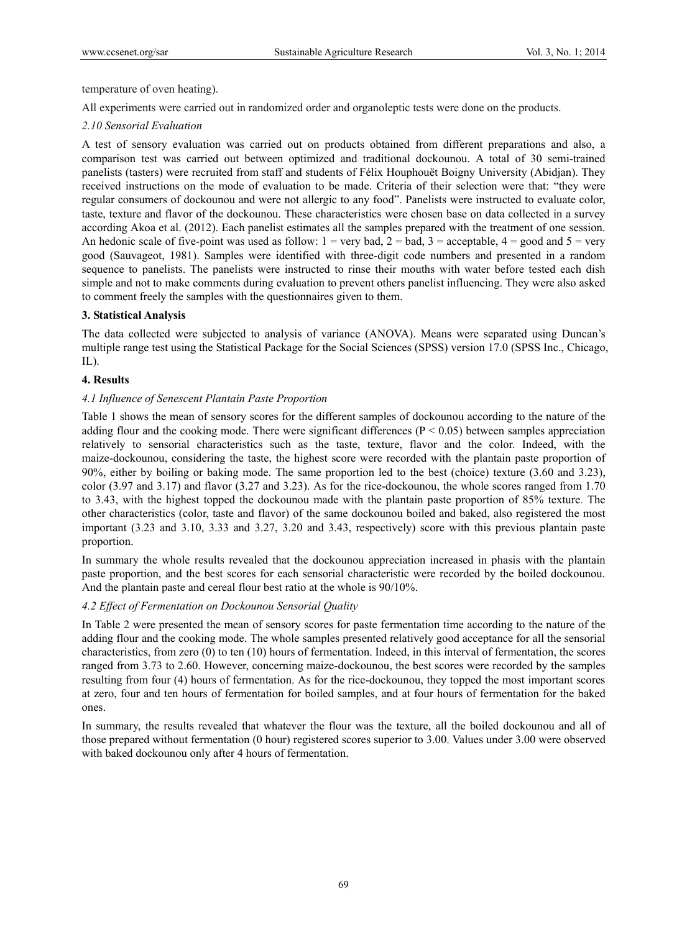temperature of oven heating).

All experiments were carried out in randomized order and organoleptic tests were done on the products.

## *2.10 Sensorial Evaluation*

A test of sensory evaluation was carried out on products obtained from different preparations and also, a comparison test was carried out between optimized and traditional dockounou. A total of 30 semi-trained panelists (tasters) were recruited from staff and students of Félix Houphouët Boigny University (Abidjan). They received instructions on the mode of evaluation to be made. Criteria of their selection were that: "they were regular consumers of dockounou and were not allergic to any food". Panelists were instructed to evaluate color, taste, texture and flavor of the dockounou. These characteristics were chosen base on data collected in a survey according Akoa et al. (2012). Each panelist estimates all the samples prepared with the treatment of one session. An hedonic scale of five-point was used as follow:  $1 = \text{very bad}, 2 = \text{bad}, 3 = \text{acceptable}, 4 = \text{good}$  and  $5 = \text{very}$ good (Sauvageot, 1981). Samples were identified with three-digit code numbers and presented in a random sequence to panelists. The panelists were instructed to rinse their mouths with water before tested each dish simple and not to make comments during evaluation to prevent others panelist influencing. They were also asked to comment freely the samples with the questionnaires given to them.

## **3. Statistical Analysis**

The data collected were subjected to analysis of variance (ANOVA). Means were separated using Duncan's multiple range test using the Statistical Package for the Social Sciences (SPSS) version 17.0 (SPSS Inc., Chicago, IL).

## **4. Results**

## *4.1 Influence of Senescent Plantain Paste Proportion*

Table 1 shows the mean of sensory scores for the different samples of dockounou according to the nature of the adding flour and the cooking mode. There were significant differences ( $P \le 0.05$ ) between samples appreciation relatively to sensorial characteristics such as the taste, texture, flavor and the color. Indeed, with the maize-dockounou, considering the taste, the highest score were recorded with the plantain paste proportion of 90%, either by boiling or baking mode. The same proportion led to the best (choice) texture (3.60 and 3.23), color (3.97 and 3.17) and flavor (3.27 and 3.23). As for the rice-dockounou, the whole scores ranged from 1.70 to 3.43, with the highest topped the dockounou made with the plantain paste proportion of 85% texture. The other characteristics (color, taste and flavor) of the same dockounou boiled and baked, also registered the most important (3.23 and 3.10, 3.33 and 3.27, 3.20 and 3.43, respectively) score with this previous plantain paste proportion.

In summary the whole results revealed that the dockounou appreciation increased in phasis with the plantain paste proportion, and the best scores for each sensorial characteristic were recorded by the boiled dockounou. And the plantain paste and cereal flour best ratio at the whole is 90/10%.

## *4.2 Effect of Fermentation on Dockounou Sensorial Quality*

In Table 2 were presented the mean of sensory scores for paste fermentation time according to the nature of the adding flour and the cooking mode. The whole samples presented relatively good acceptance for all the sensorial characteristics, from zero (0) to ten (10) hours of fermentation. Indeed, in this interval of fermentation, the scores ranged from 3.73 to 2.60. However, concerning maize-dockounou, the best scores were recorded by the samples resulting from four (4) hours of fermentation. As for the rice-dockounou, they topped the most important scores at zero, four and ten hours of fermentation for boiled samples, and at four hours of fermentation for the baked ones.

In summary, the results revealed that whatever the flour was the texture, all the boiled dockounou and all of those prepared without fermentation (0 hour) registered scores superior to 3.00. Values under 3.00 were observed with baked dockounou only after 4 hours of fermentation.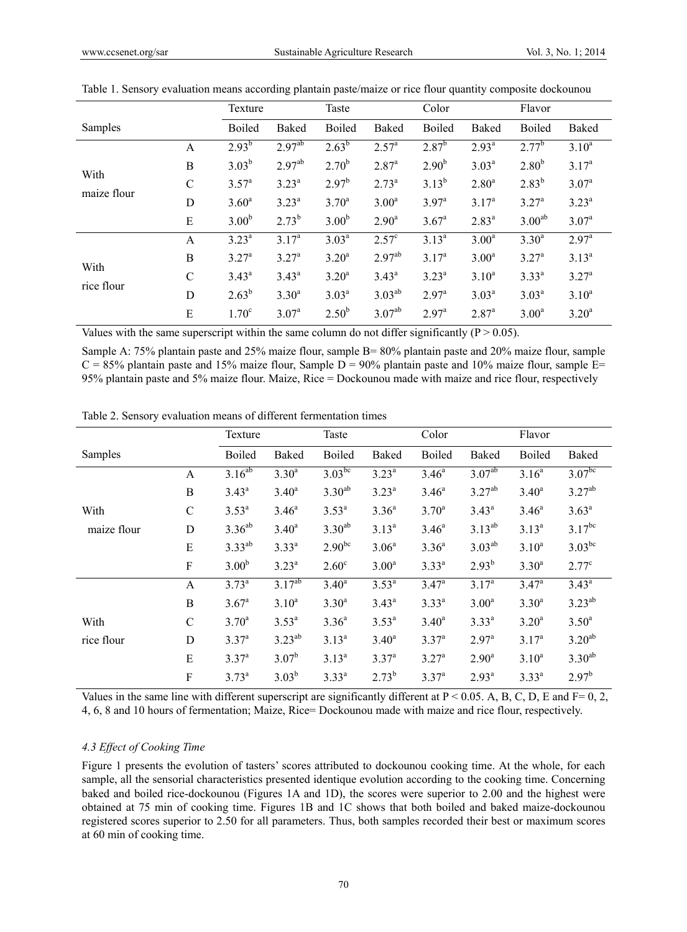|                    |               | Texture           |                    | Taste             |                   | Color             |                   | Flavor             |                   |
|--------------------|---------------|-------------------|--------------------|-------------------|-------------------|-------------------|-------------------|--------------------|-------------------|
| Samples            |               | <b>Boiled</b>     | Baked              | <b>Boiled</b>     | <b>Baked</b>      | <b>Boiled</b>     | <b>Baked</b>      | <b>Boiled</b>      | Baked             |
|                    | A             | $2.93^{b}$        | 2.97 <sup>ab</sup> | $2.63^{b}$        | 2.57 <sup>a</sup> | $2.87^b$          | $2.93^{a}$        | $2.77^b$           | $3.10^{a}$        |
|                    | B             | $3.03^{b}$        | 2.97 <sup>ab</sup> | $2.70^{b}$        | 2.87 <sup>a</sup> | 2.90 <sup>b</sup> | $3.03^{a}$        | $2.80^{b}$         | 3.17 <sup>a</sup> |
| With               | $\mathcal{C}$ | 3.57 <sup>a</sup> | $3.23^{a}$         | $2.97^{b}$        | $2.73^{a}$        | $3.13^{b}$        | 2.80 <sup>a</sup> | $2.83^{b}$         | 3.07 <sup>a</sup> |
| maize flour        | D             | 3.60 <sup>a</sup> | $3.23^{a}$         | $3.70^{\rm a}$    | 3.00 <sup>a</sup> | $3.97^{\rm a}$    | 3.17 <sup>a</sup> | 3.27 <sup>a</sup>  | $3.23^{a}$        |
|                    | E             | 3.00 <sup>b</sup> | $2.73^{b}$         | 3.00 <sup>b</sup> | $2.90^{\rm a}$    | $3.67^{\rm a}$    | $2.83^{a}$        | 3.00 <sup>ab</sup> | 3.07 <sup>a</sup> |
|                    | A             | $3.23^{a}$        | 3.17 <sup>a</sup>  | $3.03^{a}$        | 2.57 <sup>c</sup> | $3.13^{a}$        | 3.00 <sup>a</sup> | $3.30^{a}$         | 2.97 <sup>a</sup> |
| With<br>rice flour | B             | 3.27 <sup>a</sup> | 3.27 <sup>a</sup>  | $3.20^a$          | $2.97^{ab}$       | 3.17 <sup>a</sup> | 3.00 <sup>a</sup> | 3.27 <sup>a</sup>  | $3.13^{a}$        |
|                    | $\mathcal{C}$ | $3.43^a$          | $3.43^a$           | $3.20^a$          | $3.43^a$          | $3.23^{a}$        | $3.10^{a}$        | $3.33^{a}$         | 3.27 <sup>a</sup> |
|                    | D             | $2.63^{b}$        | $3.30^{a}$         | $3.03^{a}$        | $3.03^{ab}$       | $2.97^{\rm a}$    | $3.03^{a}$        | $3.03^{a}$         | $3.10^{a}$        |
|                    | Е             | 1.70 <sup>c</sup> | 3.07 <sup>a</sup>  | $2.50^{b}$        | $3.07^{ab}$       | $2.97^{\text{a}}$ | 2.87 <sup>a</sup> | 3.00 <sup>a</sup>  | $3.20^a$          |

|  |  |  | Table 1. Sensory evaluation means according plantain paste/maize or rice flour quantity composite dockounou |
|--|--|--|-------------------------------------------------------------------------------------------------------------|
|  |  |  |                                                                                                             |

Values with the same superscript within the same column do not differ significantly ( $P > 0.05$ ).

Sample A: 75% plantain paste and 25% maize flour, sample B= 80% plantain paste and 20% maize flour, sample  $C = 85\%$  plantain paste and 15% maize flour, Sample D = 90% plantain paste and 10% maize flour, sample E= 95% plantain paste and 5% maize flour. Maize, Rice = Dockounou made with maize and rice flour, respectively

| radio 2. Densory evaluation means of unferent fermentation thres |               |                   |             |                   |                   |                   |                    |                   |                    |  |
|------------------------------------------------------------------|---------------|-------------------|-------------|-------------------|-------------------|-------------------|--------------------|-------------------|--------------------|--|
|                                                                  |               | Texture           |             |                   | Taste             |                   | Color              |                   | Flavor             |  |
| Samples                                                          |               | <b>Boiled</b>     | Baked       | <b>Boiled</b>     | Baked             | <b>Boiled</b>     | Baked              | <b>Boiled</b>     | Baked              |  |
|                                                                  | A             | $3.16^{ab}$       | $3.30^{a}$  | $3.03^{bc}$       | $3.23^{a}$        | $3.46^a$          | 3.07 <sup>ab</sup> | 3.16 <sup>a</sup> | 3.07 <sup>bc</sup> |  |
|                                                                  | B             | $3.43^a$          | $3.40^a$    | $3.30^{ab}$       | $3.23^{a}$        | $3.46^a$          | $3.27^{ab}$        | $3.40^a$          | $3.27^{ab}$        |  |
| With                                                             | $\mathcal{C}$ | $3.53^{a}$        | $3.46^a$    | $3.53^{a}$        | $3.36^{a}$        | $3.70^a$          | $3.43^a$           | $3.46^a$          | $3.63^{a}$         |  |
| maize flour                                                      | D             | $3.36^{ab}$       | $3.40^a$    | $3.30^{ab}$       | $3.13^{a}$        | $3.46^a$          | $3.13^{ab}$        | $3.13^{a}$        | $3.17^{bc}$        |  |
|                                                                  | Е             | $3.33^{ab}$       | $3.33^{a}$  | $2.90^{bc}$       | 3.06 <sup>a</sup> | $3.36^{a}$        | $3.03^{ab}$        | $3.10^{a}$        | $3.03^{bc}$        |  |
|                                                                  | ${\bf F}$     | 3.00 <sup>b</sup> | $3.23^{a}$  | $2.60^{\circ}$    | 3.00 <sup>a</sup> | $3.33^{a}$        | $2.93^{b}$         | $3.30^{a}$        | $2.77^{\circ}$     |  |
|                                                                  | A             | $3.73^{a}$        | $3.17^{ab}$ | $3.40^{\rm a}$    | $3.53^{a}$        | 3.47 <sup>a</sup> | 3.17 <sup>a</sup>  | 3.47 <sup>a</sup> | $3.43^{\rm a}$     |  |
|                                                                  | B             | 3.67 <sup>a</sup> | $3.10^{a}$  | 3.30 <sup>a</sup> | $3.43^a$          | $3.33^{a}$        | 3.00 <sup>a</sup>  | $3.30^{a}$        | $3.23^{ab}$        |  |
| With                                                             | $\mathcal{C}$ | $3.70^a$          | $3.53^{a}$  | $3.36^{a}$        | $3.53^{a}$        | $3.40^a$          | $3.33^{a}$         | $3.20^a$          | $3.50^{a}$         |  |
| rice flour                                                       | D             | 3.37 <sup>a</sup> | $3.23^{ab}$ | $3.13^{a}$        | $3.40^a$          | 3.37 <sup>a</sup> | $2.97^{\rm a}$     | 3.17 <sup>a</sup> | $3.20^{ab}$        |  |
|                                                                  | E             | 3.37 <sup>a</sup> | $3.07^{b}$  | $3.13^{a}$        | 3.37 <sup>a</sup> | 3.27 <sup>a</sup> | 2.90 <sup>a</sup>  | $3.10^{a}$        | $3.30^{ab}$        |  |
|                                                                  | F             | $3.73^{a}$        | $3.03^{b}$  | $3.33^{a}$        | $2.73^{b}$        | 3.37 <sup>a</sup> | $2.93^{a}$         | $3.33^{a}$        | $2.97^{b}$         |  |
|                                                                  |               |                   |             |                   |                   |                   |                    |                   |                    |  |

Table 2. Sensory evaluation means of different fermentation times

Values in the same line with different superscript are significantly different at  $P < 0.05$ . A, B, C, D, E and F= 0, 2, 4, 6, 8 and 10 hours of fermentation; Maize, Rice= Dockounou made with maize and rice flour, respectively.

#### *4.3 Effect of Cooking Time*

Figure 1 presents the evolution of tasters' scores attributed to dockounou cooking time. At the whole, for each sample, all the sensorial characteristics presented identique evolution according to the cooking time. Concerning baked and boiled rice-dockounou (Figures 1A and 1D), the scores were superior to 2.00 and the highest were obtained at 75 min of cooking time. Figures 1B and 1C shows that both boiled and baked maize-dockounou registered scores superior to 2.50 for all parameters. Thus, both samples recorded their best or maximum scores at 60 min of cooking time.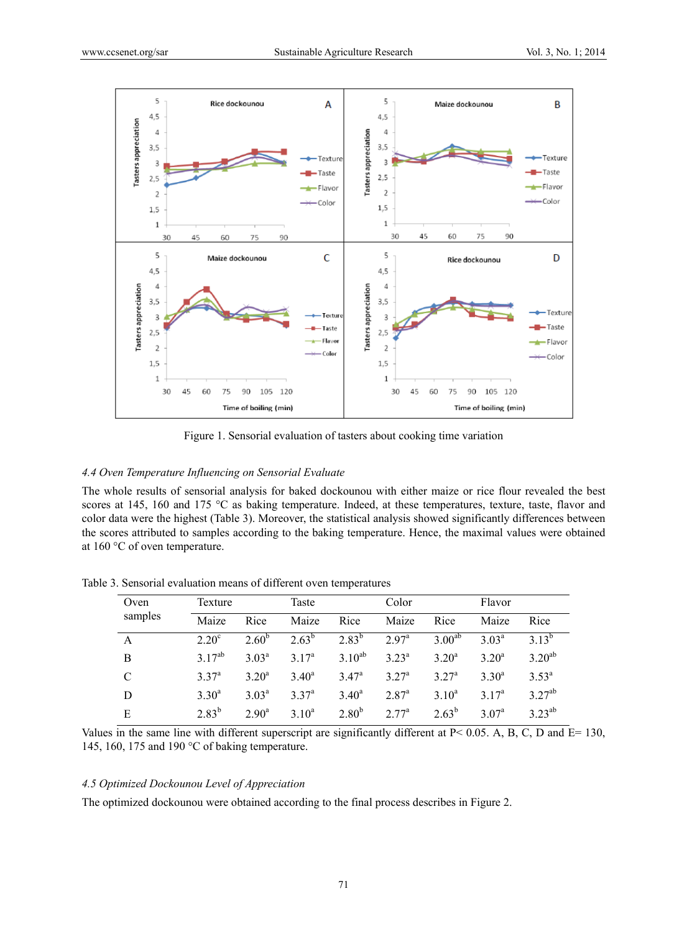

Figure 1. Sensorial evaluation of tasters about cooking time variation

## *4.4 Oven Temperature Influencing on Sensorial Evaluate*

The whole results of sensorial analysis for baked dockounou with either maize or rice flour revealed the best scores at 145, 160 and 175 °C as baking temperature. Indeed, at these temperatures, texture, taste, flavor and color data were the highest (Table 3). Moreover, the statistical analysis showed significantly differences between the scores attributed to samples according to the baking temperature. Hence, the maximal values were obtained at 160 °C of oven temperature.

| Oven    | Texture           |                   |                   | Taste          |                   | Color             |                   | Flavor         |  |
|---------|-------------------|-------------------|-------------------|----------------|-------------------|-------------------|-------------------|----------------|--|
| samples | Maize             | Rice              | Maize             | Rice           | Maize             | Rice              | Maize             | Rice           |  |
| A       | 2.20 <sup>c</sup> | $2.60^{b}$        | $2.63^{b}$        | $2.83^{b}$     | 2.97 <sup>a</sup> | $3.00^{ab}$       | 3.03 <sup>a</sup> | $3^{13^{b}}$   |  |
| B       | $3.17^{ab}$       | 3.03 <sup>a</sup> | 3.17 <sup>a</sup> | $3.10^{ab}$    | $3.23^a$          | $3.20^a$          | $3.20^a$          | $3.20^{ab}$    |  |
| C       | 3.37 <sup>a</sup> | 3.20 <sup>a</sup> | $3.40^a$          | $3.47^{\rm a}$ | $3.27^{\rm a}$    | 3.27 <sup>a</sup> | $3.30^{\circ}$    | $3.53^{\rm a}$ |  |
| D       | $3.30^a$          | $3.03^{\rm a}$    | 3.37 <sup>a</sup> | $3.40^{\circ}$ | $2.87^{\rm a}$    | $3.10^a$          | $3 \frac{1}{2}$   | $3.27^{ab}$    |  |
| Е       | $2.83^{b}$        | 2.90 <sup>a</sup> | $3.10^a$          | $2.80^{b}$     | 2.77 <sup>a</sup> | $2.63^{b}$        | 3.07 <sup>a</sup> | $3.23^{ab}$    |  |

Table 3. Sensorial evaluation means of different oven temperatures

Values in the same line with different superscript are significantly different at  $P < 0.05$ . A, B, C, D and E= 130, 145, 160, 175 and 190 °C of baking temperature.

#### *4.5 Optimized Dockounou Level of Appreciation*

The optimized dockounou were obtained according to the final process describes in Figure 2.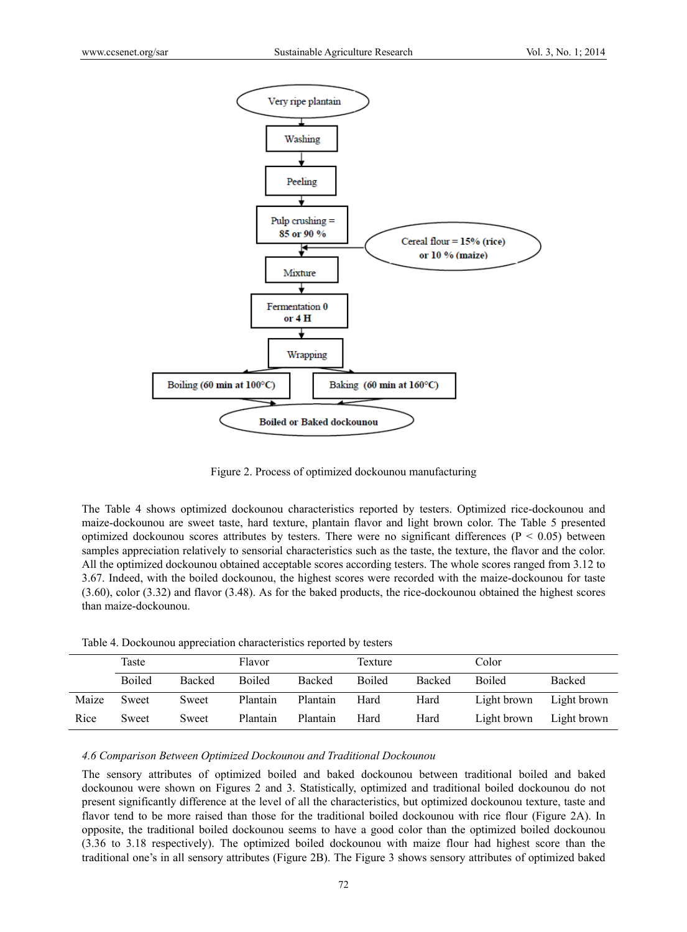

Figure 2. Process of optimized dockounou manufacturing

The Table 4 shows optimized dockounou characteristics reported by testers. Optimized rice-dockounou and maize-dockounou are sweet taste, hard texture, plantain flavor and light brown color. The Table 5 presented optimized dockounou scores attributes by testers. There were no significant differences ( $P < 0.05$ ) between samples appreciation relatively to sensorial characteristics such as the taste, the texture, the flavor and the color. All the optimized dockounou obtained acceptable scores according testers. The whole scores ranged from 3.12 to 3.67. Indeed, with the boiled dockounou, the highest scores were recorded with the maize-dockounou for taste (3.60), color (3.32) and flavor (3.48). As for the baked products, the rice-dockounou obtained the highest scores than maize-dockounou.

Table 4. Dockounou appreciation characteristics reported by testers

|       | Taste         |               | Flavor        |               | Texture       |               | Color         |             |
|-------|---------------|---------------|---------------|---------------|---------------|---------------|---------------|-------------|
|       | <b>Boiled</b> | <b>Backed</b> | <b>Boiled</b> | <b>Backed</b> | <b>Boiled</b> | <b>Backed</b> | <b>Boiled</b> | Backed      |
| Maize | Sweet         | Sweet         | Plantain      | Plantain      | Hard          | Hard          | Light brown   | Light brown |
| Rice  | Sweet         | Sweet         | Plantain      | Plantain      | Hard          | Hard          | Light brown   | Light brown |

*4.6 Comparison Between Optimized Dockounou and Traditional Dockounou*

The sensory attributes of optimized boiled and baked dockounou between traditional boiled and baked dockounou were shown on Figures 2 and 3. Statistically, optimized and traditional boiled dockounou do not present significantly difference at the level of all the characteristics, but optimized dockounou texture, taste and flavor tend to be more raised than those for the traditional boiled dockounou with rice flour (Figure 2A). In opposite, the traditional boiled dockounou seems to have a good color than the optimized boiled dockounou (3.36 to 3.18 respectively). The optimized boiled dockounou with maize flour had highest score than the traditional one's in all sensory attributes (Figure 2B). The Figure 3 shows sensory attributes of optimized baked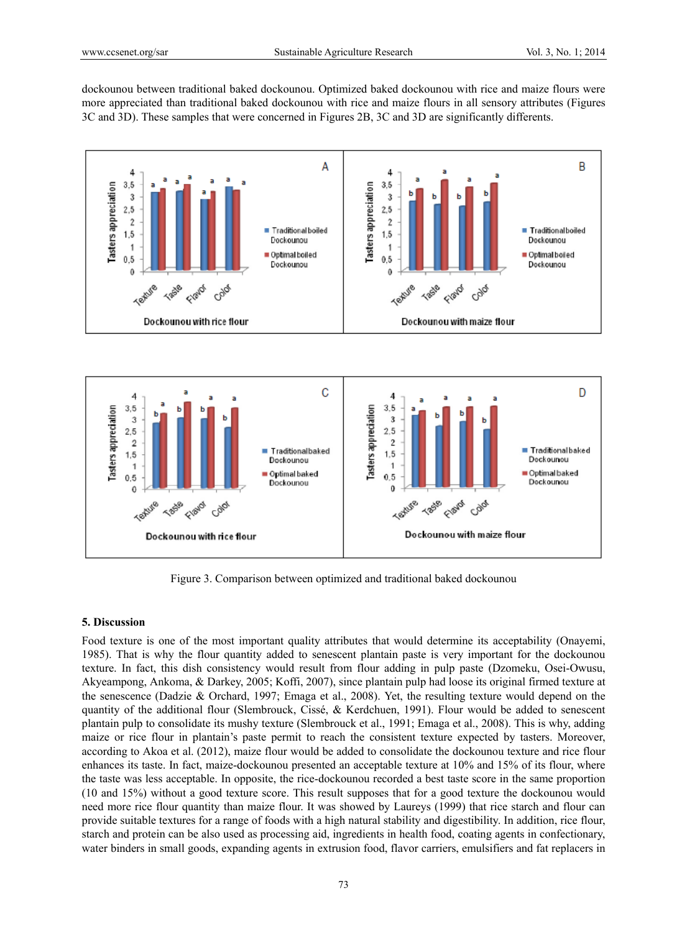dockounou between traditional baked dockounou. Optimized baked dockounou with rice and maize flours were more appreciated than traditional baked dockounou with rice and maize flours in all sensory attributes (Figures 3C and 3D). These samples that were concerned in Figures 2B, 3C and 3D are significantly differents.





Figure 3. Comparison between optimized and traditional baked dockounou

#### **5. Discussion**

Food texture is one of the most important quality attributes that would determine its acceptability (Onayemi, 1985). That is why the flour quantity added to senescent plantain paste is very important for the dockounou texture. In fact, this dish consistency would result from flour adding in pulp paste (Dzomeku, Osei-Owusu, Akyeampong, Ankoma, & Darkey, 2005; Koffi, 2007), since plantain pulp had loose its original firmed texture at the senescence (Dadzie & Orchard, 1997; Emaga et al., 2008). Yet, the resulting texture would depend on the quantity of the additional flour (Slembrouck, Cissé, & Kerdchuen, 1991). Flour would be added to senescent plantain pulp to consolidate its mushy texture (Slembrouck et al., 1991; Emaga et al., 2008). This is why, adding maize or rice flour in plantain's paste permit to reach the consistent texture expected by tasters. Moreover, according to Akoa et al. (2012), maize flour would be added to consolidate the dockounou texture and rice flour enhances its taste. In fact, maize-dockounou presented an acceptable texture at 10% and 15% of its flour, where the taste was less acceptable. In opposite, the rice-dockounou recorded a best taste score in the same proportion (10 and 15%) without a good texture score. This result supposes that for a good texture the dockounou would need more rice flour quantity than maize flour. It was showed by Laureys (1999) that rice starch and flour can provide suitable textures for a range of foods with a high natural stability and digestibility. In addition, rice flour, starch and protein can be also used as processing aid, ingredients in health food, coating agents in confectionary, water binders in small goods, expanding agents in extrusion food, flavor carriers, emulsifiers and fat replacers in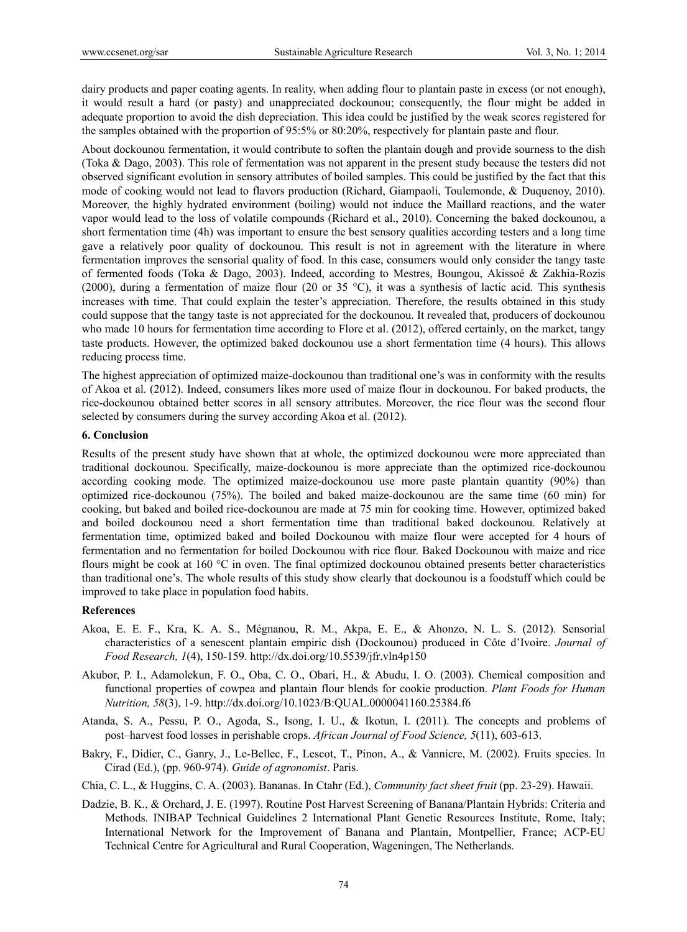dairy products and paper coating agents. In reality, when adding flour to plantain paste in excess (or not enough), it would result a hard (or pasty) and unappreciated dockounou; consequently, the flour might be added in adequate proportion to avoid the dish depreciation. This idea could be justified by the weak scores registered for the samples obtained with the proportion of 95:5% or 80:20%, respectively for plantain paste and flour.

About dockounou fermentation, it would contribute to soften the plantain dough and provide sourness to the dish (Toka & Dago, 2003). This role of fermentation was not apparent in the present study because the testers did not observed significant evolution in sensory attributes of boiled samples. This could be justified by the fact that this mode of cooking would not lead to flavors production (Richard, Giampaoli, Toulemonde, & Duquenoy, 2010). Moreover, the highly hydrated environment (boiling) would not induce the Maillard reactions, and the water vapor would lead to the loss of volatile compounds (Richard et al., 2010). Concerning the baked dockounou, a short fermentation time (4h) was important to ensure the best sensory qualities according testers and a long time gave a relatively poor quality of dockounou. This result is not in agreement with the literature in where fermentation improves the sensorial quality of food. In this case, consumers would only consider the tangy taste of fermented foods (Toka & Dago, 2003). Indeed, according to Mestres, Boungou, Akissoé & Zakhia-Rozis (2000), during a fermentation of maize flour (20 or 35 °C), it was a synthesis of lactic acid. This synthesis increases with time. That could explain the tester's appreciation. Therefore, the results obtained in this study could suppose that the tangy taste is not appreciated for the dockounou. It revealed that, producers of dockounou who made 10 hours for fermentation time according to Flore et al. (2012), offered certainly, on the market, tangy taste products. However, the optimized baked dockounou use a short fermentation time (4 hours). This allows reducing process time.

The highest appreciation of optimized maize-dockounou than traditional one's was in conformity with the results of Akoa et al. (2012). Indeed, consumers likes more used of maize flour in dockounou. For baked products, the rice-dockounou obtained better scores in all sensory attributes. Moreover, the rice flour was the second flour selected by consumers during the survey according Akoa et al. (2012).

#### **6. Conclusion**

Results of the present study have shown that at whole, the optimized dockounou were more appreciated than traditional dockounou. Specifically, maize-dockounou is more appreciate than the optimized rice-dockounou according cooking mode. The optimized maize-dockounou use more paste plantain quantity (90%) than optimized rice-dockounou (75%). The boiled and baked maize-dockounou are the same time (60 min) for cooking, but baked and boiled rice-dockounou are made at 75 min for cooking time. However, optimized baked and boiled dockounou need a short fermentation time than traditional baked dockounou. Relatively at fermentation time, optimized baked and boiled Dockounou with maize flour were accepted for 4 hours of fermentation and no fermentation for boiled Dockounou with rice flour. Baked Dockounou with maize and rice flours might be cook at 160 °C in oven. The final optimized dockounou obtained presents better characteristics than traditional one's. The whole results of this study show clearly that dockounou is a foodstuff which could be improved to take place in population food habits.

#### **References**

- Akoa, E. E. F., Kra, K. A. S., Mégnanou, R. M., Akpa, E. E., & Ahonzo, N. L. S. (2012). Sensorial characteristics of a senescent plantain empiric dish (Dockounou) produced in Côte d'Ivoire. *Journal of Food Research, 1*(4), 150-159. http://dx.doi.org/10.5539/jfr.vln4p150
- Akubor, P. I., Adamolekun, F. O., Oba, C. O., Obari, H., & Abudu, I. O. (2003). Chemical composition and functional properties of cowpea and plantain flour blends for cookie production. *Plant Foods for Human Nutrition, 58*(3), 1-9. http://dx.doi.org/10.1023/B:QUAL.0000041160.25384.f6
- Atanda, S. A., Pessu, P. O., Agoda, S., Isong, I. U., & Ikotun, I. (2011). The concepts and problems of post–harvest food losses in perishable crops. *African Journal of Food Science, 5*(11), 603-613.
- Bakry, F., Didier, C., Ganry, J., Le-Bellec, F., Lescot, T., Pinon, A., & Vannicre, M. (2002). Fruits species. In Cirad (Ed.), (pp. 960-974). *Guide of agronomist*. Paris.
- Chia, C. L., & Huggins, C. A. (2003). Bananas. In Ctahr (Ed.), *Community fact sheet fruit* (pp. 23-29). Hawaii.
- Dadzie, B. K., & Orchard, J. E. (1997). Routine Post Harvest Screening of Banana/Plantain Hybrids: Criteria and Methods. INIBAP Technical Guidelines 2 International Plant Genetic Resources Institute, Rome, Italy; International Network for the Improvement of Banana and Plantain, Montpellier, France; ACP-EU Technical Centre for Agricultural and Rural Cooperation, Wageningen, The Netherlands.